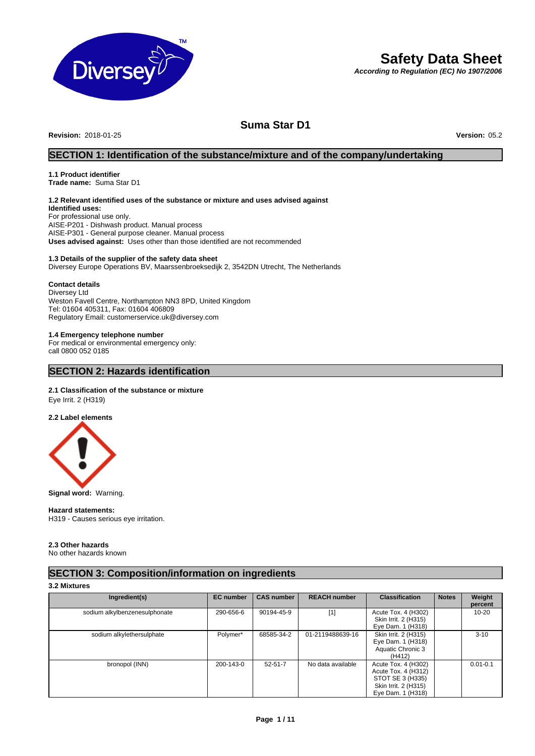

# **Safety Data Sheet**

*According to Regulation (EC) No 1907/2006*

# **Suma Star D1**

**Revision:** 2018-01-25 **Version:** 05.2

# **SECTION 1: Identification of the substance/mixture and of the company/undertaking**

### **1.1 Product identifier Trade name:** Suma Star D1

# **1.2 Relevant identified uses of the substance or mixture and uses advised against**

**Identified uses:** For professional use only. AISE-P201 - Dishwash product. Manual process AISE-P301 - General purpose cleaner. Manual process **Uses advised against:** Uses other than those identified are not recommended

### **1.3 Details of the supplier of the safety data sheet**

Diversey Europe Operations BV, Maarssenbroeksedijk 2, 3542DN Utrecht, The Netherlands

### **Contact details**

Diversey Ltd Weston Favell Centre, Northampton NN3 8PD, United Kingdom Tel: 01604 405311, Fax: 01604 406809 Regulatory Email: customerservice.uk@diversey.com

### **1.4 Emergency telephone number**

For medical or environmental emergency only: call 0800 052 0185

# **SECTION 2: Hazards identification**

### **2.1 Classification of the substance or mixture**

Eye Irrit. 2 (H319)

### **2.2 Label elements**



**Signal word:** Warning.

### **Hazard statements:**

H319 - Causes serious eye irritation.

# **2.3 Other hazards**

No other hazards known

# **SECTION 3: Composition/information on ingredients**

### **3.2 Mixtures**

| Ingredient(s)                 | <b>EC</b> number | <b>CAS number</b> | <b>REACH number</b> | <b>Classification</b>                                                                                       | <b>Notes</b> | Weight<br>percent |
|-------------------------------|------------------|-------------------|---------------------|-------------------------------------------------------------------------------------------------------------|--------------|-------------------|
| sodium alkylbenzenesulphonate | 290-656-6        | 90194-45-9        | $[1]$               | Acute Tox. 4 (H302)<br>Skin Irrit. 2 (H315)<br>Eye Dam. 1 (H318)                                            |              | $10 - 20$         |
| sodium alkylethersulphate     | Polymer*         | 68585-34-2        | 01-2119488639-16    | Skin Irrit. 2 (H315)<br>Eye Dam. 1 (H318)<br>Aquatic Chronic 3<br>(H412)                                    |              | $3 - 10$          |
| bronopol (INN)                | 200-143-0        | $52 - 51 - 7$     | No data available   | Acute Tox. 4 (H302)<br>Acute Tox. 4 (H312)<br>STOT SE 3 (H335)<br>Skin Irrit. 2 (H315)<br>Eye Dam. 1 (H318) |              | $0.01 - 0.1$      |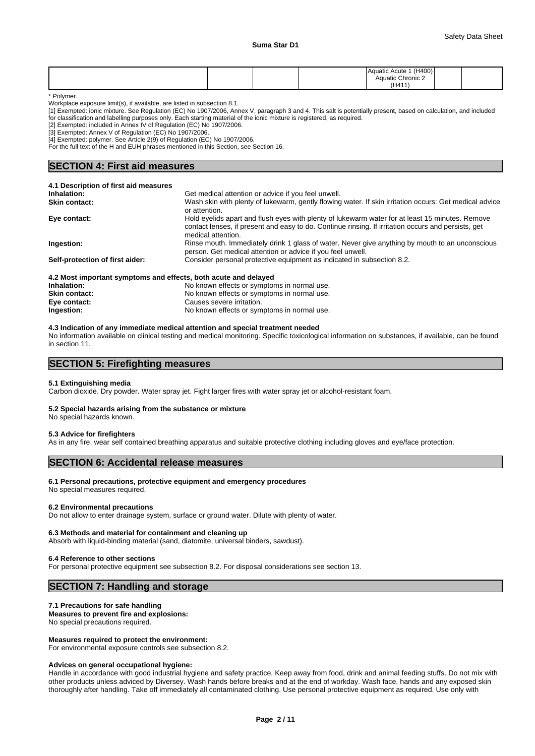|  |  | (H400)<br>Aquatic Acute<br>__  |  |
|--|--|--------------------------------|--|
|  |  | $\sim$<br>Chronic 2<br>Aquatic |  |
|  |  | (H411                          |  |

\* Polymer.

Workplace exposure limit(s), if available, are listed in subsection 8.1.

[1] Exempted: ionic mixture. See Regulation (EC) No 1907/2006, Annex V, paragraph 3 and 4. This salt is potentially present, based on calculation, and included for classification and labelling purposes only. Each starting material of the ionic mixture is registered, as required.

[2] Exempted: included in Annex IV of Regulation (EC) No 1907/2006.

[3] Exempted: Annex V of Regulation (EC) No 1907/2006.

[4] Exempted: polymer. See Article 2(9) of Regulation (EC) No 1907/2006.

For the full text of the H and EUH phrases mentioned in this Section, see Section 16.

## **SECTION 4: First aid measures**

| 4.1 Description of first aid measures                           |                                                                                                                                                                                                                              |
|-----------------------------------------------------------------|------------------------------------------------------------------------------------------------------------------------------------------------------------------------------------------------------------------------------|
| Inhalation:                                                     | Get medical attention or advice if you feel unwell.                                                                                                                                                                          |
| <b>Skin contact:</b>                                            | Wash skin with plenty of lukewarm, gently flowing water. If skin irritation occurs: Get medical advice<br>or attention.                                                                                                      |
| Eye contact:                                                    | Hold eyelids apart and flush eyes with plenty of lukewarm water for at least 15 minutes. Remove<br>contact lenses, if present and easy to do. Continue rinsing. If irritation occurs and persists, get<br>medical attention. |
| Ingestion:                                                      | Rinse mouth. Immediately drink 1 glass of water. Never give anything by mouth to an unconscious<br>person. Get medical attention or advice if you feel unwell.                                                               |
| Self-protection of first aider:                                 | Consider personal protective equipment as indicated in subsection 8.2.                                                                                                                                                       |
| 4.2 Most important symptoms and effects, both acute and delayed |                                                                                                                                                                                                                              |
| Inhalation:                                                     | No known effects or symptoms in normal use.                                                                                                                                                                                  |

# **4.3 Indication of any immediate medical attention and special treatment needed**

**Skin contact:** No known effects or symptoms in normal use.<br> **Eve contact:** Causes severe irritation.

No information available on clinical testing and medical monitoring. Specific toxicological information on substances, if available, can be found in section 11.

**Ingestion:** No known effects or symptoms in normal use.

## **SECTION 5: Firefighting measures**

### **5.1 Extinguishing media**

Carbon dioxide. Dry powder. Water spray jet. Fight larger fires with water spray jet or alcohol-resistant foam.

### **5.2 Special hazards arising from the substance or mixture**

**Eye contact:** Causes severe irritation.<br> **Ingestion:** Causes Severe irritation.

No special hazards known.

### **5.3 Advice for firefighters**

As in any fire, wear self contained breathing apparatus and suitable protective clothing including gloves and eye/face protection.

# **SECTION 6: Accidental release measures**

### **6.1 Personal precautions, protective equipment and emergency procedures**

No special measures required.

### **6.2 Environmental precautions**

Do not allow to enter drainage system, surface or ground water. Dilute with plenty of water.

### **6.3 Methods and material for containment and cleaning up**

Absorb with liquid-binding material (sand, diatomite, universal binders, sawdust).

### **6.4 Reference to other sections**

For personal protective equipment see subsection 8.2. For disposal considerations see section 13.

## **SECTION 7: Handling and storage**

### **7.1 Precautions for safe handling**

**Measures to prevent fire and explosions:** No special precautions required.

### **Measures required to protect the environment:**

For environmental exposure controls see subsection 8.2.

### **Advices on general occupational hygiene:**

Handle in accordance with good industrial hygiene and safety practice. Keep away from food, drink and animal feeding stuffs. Do not mix with other products unless adviced by Diversey. Wash hands before breaks and at the end of workday. Wash face, hands and any exposed skin thoroughly after handling. Take off immediately all contaminated clothing. Use personal protective equipment as required. Use only with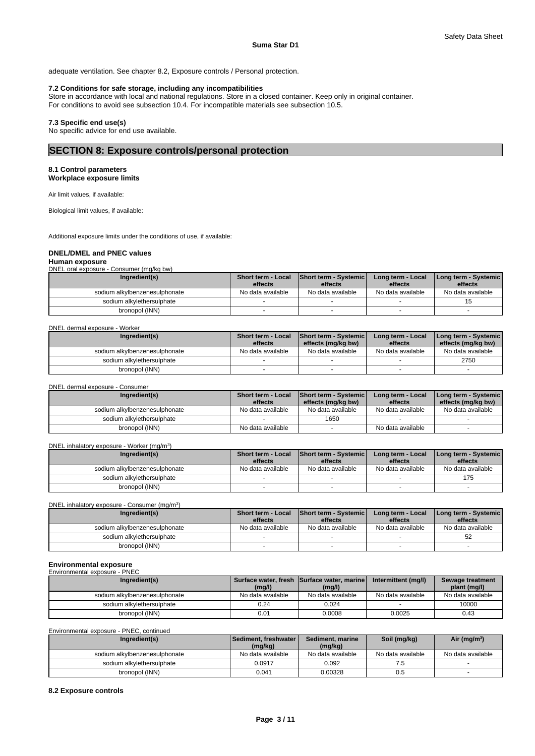adequate ventilation. See chapter 8.2, Exposure controls / Personal protection.

### **7.2 Conditions for safe storage, including any incompatibilities**

Store in accordance with local and national regulations. Store in a closed container. Keep only in original container. For conditions to avoid see subsection 10.4. For incompatible materials see subsection 10.5.

### **7.3 Specific end use(s)**

No specific advice for end use available.

# **SECTION 8: Exposure controls/personal protection**

### **8.1 Control parameters Workplace exposure limits**

Air limit values, if available:

Biological limit values, if available:

Additional exposure limits under the conditions of use, if available:

# **DNEL/DMEL and PNEC values**

# **Human exposure**

|  | DNEL oral exposure - Consumer (mg/kg bw) |  |
|--|------------------------------------------|--|
|  |                                          |  |

| Ingredient(s)                 | <b>Short term - Local</b> | Short term - Systemic | Long term - Local | I Long term - Systemic I |
|-------------------------------|---------------------------|-----------------------|-------------------|--------------------------|
|                               | effects                   | effects               | effects           | effects                  |
| sodium alkylbenzenesulphonate | No data available         | No data available     | No data available | No data available        |
| sodium alkylethersulphate     |                           |                       |                   |                          |
| bronopol (INN)                |                           |                       |                   |                          |

### DNEL dermal exposure - Worker

| Ingredient(s)                 | <b>Short term - Local</b> | Short term - Systemic | Long term - Local | <b>I Long term - Systemic</b> |
|-------------------------------|---------------------------|-----------------------|-------------------|-------------------------------|
|                               | effects                   | effects (mg/kg bw)    | effects           | effects (mg/kg bw)            |
| sodium alkylbenzenesulphonate | No data available         | No data available     | No data available | No data available             |
| sodium alkvlethersulphate     |                           |                       |                   | 2750                          |
| bronopol (INN)                |                           |                       |                   |                               |

DNEL dermal exposure - Consumer

| Ingredient(s)                 | <b>Short term - Local</b> | Short term - Systemic | Long term - Local | I Long term - Systemic I |
|-------------------------------|---------------------------|-----------------------|-------------------|--------------------------|
|                               | effects                   | effects (mg/kg bw)    | effects           | effects (mg/kg bw)       |
| sodium alkylbenzenesulphonate | No data available         | No data available     | No data available | No data available        |
| sodium alkvlethersulphate     |                           | 1650                  |                   |                          |
| bronopol (INN)                | No data available         |                       | No data available |                          |

### DNEL inhalatory exposure - Worker (mg/m<sup>3</sup>) ) and  $\overline{\phantom{a}}$

| Ingredient(s)                 | <b>Short term - Local</b> | Short term - Systemic | Long term - Local | I Long term - Systemic I |
|-------------------------------|---------------------------|-----------------------|-------------------|--------------------------|
|                               | effects                   | effects               | effects           | effects                  |
| sodium alkylbenzenesulphonate | No data available         | No data available     | No data available | No data available        |
| sodium alkylethersulphate     |                           |                       |                   | 175                      |
| bronopol (INN)                |                           |                       |                   |                          |

### DNEL inhalatory exposure - Consumer (mg/m<sup>3</sup>)

| Ingredient(s)                 | <b>Short term - Local</b><br>effects | <b>Short term - Systemic</b><br>effects | Long term - Local<br>effects | [Long term - Systemic]<br>effects |
|-------------------------------|--------------------------------------|-----------------------------------------|------------------------------|-----------------------------------|
| sodium alkylbenzenesulphonate | No data available                    | No data available                       | No data available            | No data available                 |
| sodium alkylethersulphate     |                                      |                                         |                              | న∠                                |
| bronopol (INN)                |                                      |                                         |                              |                                   |

)

### **Environmental exposure**

| Environmental exposure - PNEC |                   |                                            |                     |                   |
|-------------------------------|-------------------|--------------------------------------------|---------------------|-------------------|
| Ingredient(s)                 |                   | Surface water, fresh Surface water, marine | Intermittent (mg/l) | Sewage treatment  |
|                               | (mq/l)            | (mg/l)                                     |                     | plant (mg/l)      |
| sodium alkylbenzenesulphonate | No data available | No data available                          | No data available   | No data available |
| sodium alkylethersulphate     | 0.24              | 0.024                                      |                     | 10000             |
| bronopol (INN)                | 0.01              | 0.0008                                     | 0.0025              | 0.43              |

### Environmental exposure - PNEC, continued

| Ingredient(s)                 | l Sediment. freshwater l<br>(mg/kg) | Sediment, marine<br>(mg/kg) | Soil (mg/kg)      | Air ( $mg/m3$ )   |
|-------------------------------|-------------------------------------|-----------------------------|-------------------|-------------------|
| sodium alkylbenzenesulphonate | No data available                   | No data available           | No data available | No data available |
| sodium alkylethersulphate     | 0.0917                              | 0.092                       | ن. ا              |                   |
| bronopol (INN)                | 0.041                               | 0.00328                     | 0.5               |                   |

### **8.2 Exposure controls**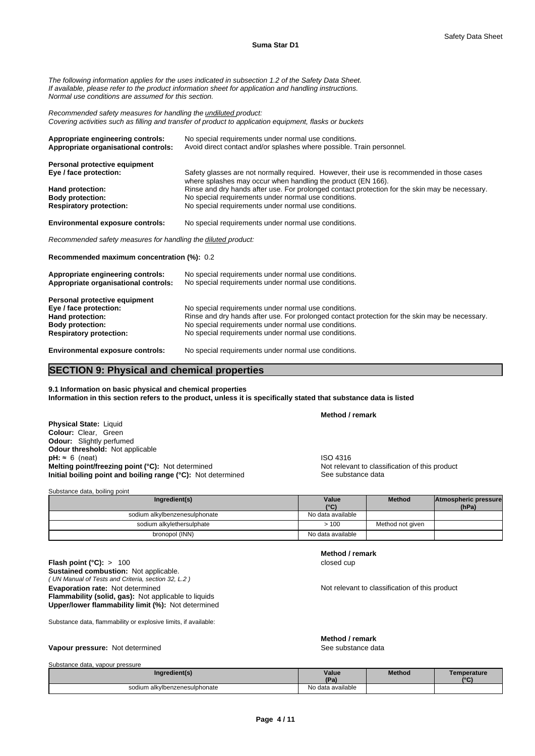*The following information applies for the uses indicated in subsection 1.2 of the Safety Data Sheet. If available, please refer to the product information sheet for application and handling instructions. Normal use conditions are assumed for this section.*

*Recommended safety measures for handling the undiluted product: Covering activities such as filling and transfer of product to application equipment, flasks or buckets*

| Appropriate engineering controls:<br>Appropriate organisational controls: | No special requirements under normal use conditions.<br>Avoid direct contact and/or splashes where possible. Train personnel.                              |  |  |  |  |  |
|---------------------------------------------------------------------------|------------------------------------------------------------------------------------------------------------------------------------------------------------|--|--|--|--|--|
| Personal protective equipment                                             |                                                                                                                                                            |  |  |  |  |  |
| Eye / face protection:                                                    | Safety glasses are not normally required. However, their use is recommended in those cases<br>where splashes may occur when handling the product (EN 166). |  |  |  |  |  |
| Hand protection:                                                          | Rinse and dry hands after use. For prolonged contact protection for the skin may be necessary.                                                             |  |  |  |  |  |
| <b>Body protection:</b>                                                   | No special requirements under normal use conditions.                                                                                                       |  |  |  |  |  |
| <b>Respiratory protection:</b>                                            | No special requirements under normal use conditions.                                                                                                       |  |  |  |  |  |
| <b>Environmental exposure controls:</b>                                   | No special requirements under normal use conditions.                                                                                                       |  |  |  |  |  |
| Recommended safety measures for handling the diluted product:             |                                                                                                                                                            |  |  |  |  |  |

**Recommended maximum concentration (%):** 0.2

| Appropriate engineering controls:<br>Appropriate organisational controls: | No special requirements under normal use conditions.<br>No special requirements under normal use conditions. |
|---------------------------------------------------------------------------|--------------------------------------------------------------------------------------------------------------|
| Personal protective equipment                                             |                                                                                                              |
| Eye / face protection:                                                    | No special requirements under normal use conditions.                                                         |
| Hand protection:                                                          | Rinse and dry hands after use. For prolonged contact protection for the skin may be necessary.               |
| <b>Body protection:</b>                                                   | No special requirements under normal use conditions.                                                         |
| <b>Respiratory protection:</b>                                            | No special requirements under normal use conditions.                                                         |
| For the company of the company of the contract of                         | Ala ana alah na muluwengan mana mana mana luungi ana ditingan                                                |

**Environmental exposure controls:** No special requirements under normal use conditions.

# **SECTION 9: Physical and chemical properties**

**9.1 Information on basic physical and chemical properties Information in this section refers to the product, unless it is specifically stated that substance data is listed**

**Physical State:** Liquid **Colour:** Clear, Green **Odour:** Slightly perfumed **Odour threshold:** Not applicable **pH:** ≈ 6 (neat)<br> **Melting point/freezing point (°C):** Not determined<br> **Melting point/freezing point (°C):** Not determined<br> **Melting point/freezing point (°C):** Not determined **Melting point/freezing point (°C):** Not determined **Initial boiling point and boiling range (°C):** Not determined See substance data

| Substance data, boiling point |                   |                  |                      |
|-------------------------------|-------------------|------------------|----------------------|
| Ingredient(s)                 | Value             | Method           | Atmospheric pressure |
|                               | $(^{\circ}C)$     |                  | (hPa)                |
| sodium alkylbenzenesulphonate | No data available |                  |                      |
| sodium alkylethersulphate     | >100              | Method not given |                      |
| bronopol (INN)                | No data available |                  |                      |

*( UN Manual of Tests and Criteria, section 32, L.2 )* **Flash point (°C):** > 100 closed cup **Sustained combustion:** Not applicable. **Evaporation rate:** Not determined **Notification of this product** Not relevant to classification of this product **Flammability (solid, gas):** Not applicable to liquids **Upper/lower flammability limit (%):** Not determined

Substance data, flammability or explosive limits, if available:

### **Vapour pressure:** Not determined See substance data

**Method / remark**

**Method / remark**

**Method / remark**

Substance data, vapour pressure

| <b>Property of the contract of the contract of the contract of the contract of the contract of the contract of the contract of the contract of the contract of the contract of the contract of the contract of the contract of t</b> |                   |               |             |
|--------------------------------------------------------------------------------------------------------------------------------------------------------------------------------------------------------------------------------------|-------------------|---------------|-------------|
| Ingredient(s)                                                                                                                                                                                                                        | Value             | <b>Method</b> | Temperature |
|                                                                                                                                                                                                                                      | ID.               |               | $\sim$      |
| sodium alkylbenzenesulphonate                                                                                                                                                                                                        | No data available |               |             |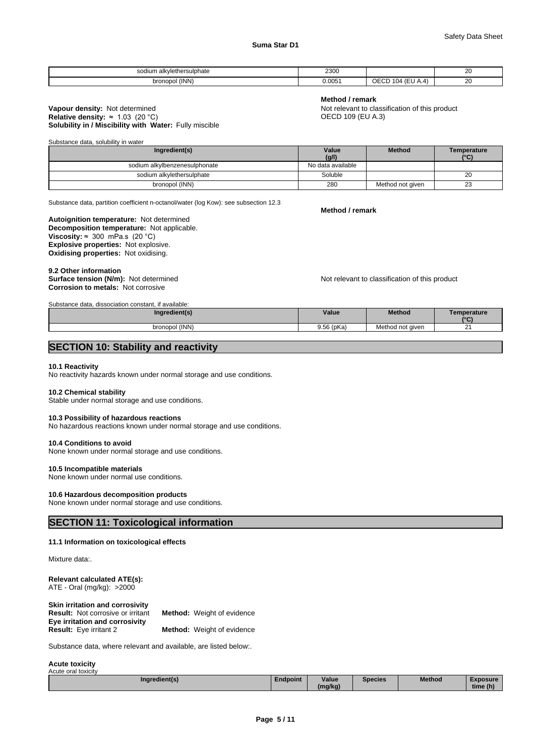| alkvlethersu<br><b>liphate</b><br>$\sim$<br>dium a | ววกก<br>∠งบบ<br>. |            | oc<br>∠∪<br>$\sim$ |
|----------------------------------------------------|-------------------|------------|--------------------|
| (INN)<br>bronopc<br>.                              | 0.005<br>.        | ∽<br>. . I | n,<br>∠∪<br>$\sim$ |

### **Solubility in / Miscibility with Water:** Fully miscible **Vapour density:** Not determined **Not relevant to classification of this product**<br> **Relative density:** ≈ 1.03 (20 °C) **Not relative density:** ≈ 1.03 (20 °C) **Note Not relative density:** ≈ 1.03 (20 °C) **Relative density:**  $\approx 1.03$  **(20 °C)**

**Method / remark**

Substance data, solubility in water

| Ingredient(s)                 | Value             | <b>Method</b>    | Temperature |
|-------------------------------|-------------------|------------------|-------------|
|                               | (g/l)             |                  | 10(1)       |
| sodium alkylbenzenesulphonate | No data available |                  |             |
| sodium alkylethersulphate     | Soluble           |                  | 20          |
| bronopol (INN)                | 280               | Method not given | ົ<br>∠ے     |

Substance data, partition coefficient n-octanol/water (log Kow): see subsection 12.3

**Decomposition temperature:** Not applicable. **Autoignition temperature:** Not determined **Viscosity:**  $\approx$  300 mPa.s (20 °C) **Explosive properties:** Not explosive. **Oxidising properties:** Not oxidising.

9.2 Other information<br>Surface tension (N/m): Not determined **Corrosion to metals:** Not corrosive

Substance data, dissociation constant, if available:

Not relevant to classification of this product

| <u>Supstance Gata, Gissociation constant. Il available,</u> |            |                  |                 |
|-------------------------------------------------------------|------------|------------------|-----------------|
| Ingredient(s)                                               | Value      | <b>Method</b>    | emperature      |
|                                                             |            |                  | 10 <sup>o</sup> |
| bronopol (INN)                                              | 9.56 (pKa) | Method not given | ົ<br><u>.</u>   |

# **SECTION 10: Stability and reactivity**

### **10.1 Reactivity**

No reactivity hazards known under normal storage and use conditions.

### **10.2 Chemical stability**

Stable under normal storage and use conditions.

### **10.3 Possibility of hazardous reactions**

No hazardous reactions known under normal storage and use conditions.

### **10.4 Conditions to avoid**

None known under normal storage and use conditions.

### **10.5 Incompatible materials**

None known under normal use conditions.

### **10.6 Hazardous decomposition products**

None known under normal storage and use conditions.

# **SECTION 11: Toxicological information**

### **11.1 Information on toxicological effects**

Mixture data:.

### **Relevant calculated ATE(s):** ATE - Oral (mg/kg): >2000

| Skin irritation and corrosivity          |                                   |
|------------------------------------------|-----------------------------------|
| <b>Result:</b> Not corrosive or irritant | <b>Method:</b> Weight of evidence |
| Eye irritation and corrosivity           |                                   |
| <b>Result:</b> Eye irritant 2            | <b>Method:</b> Weight of evidence |

Substance data, where relevant and available, are listed below:.

**Acute toxicity** Acute oral toxicity

| $\cdots$<br>Ingredient(s) | Endpoint | Value   | Species | <b>Method</b> | <b>Exposure</b>    |
|---------------------------|----------|---------|---------|---------------|--------------------|
|                           |          | (mg/kg) |         |               | $\sim$<br>time (h) |

**Method / remark**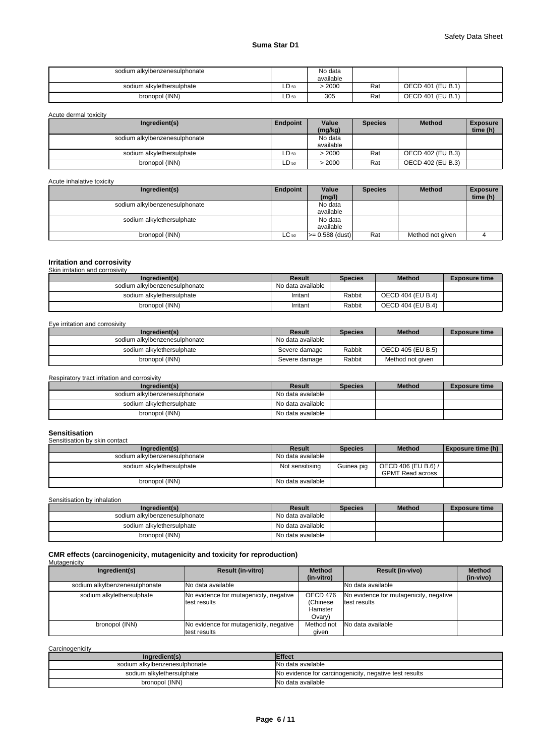# **Suma Star D1**

| sodium alkylbenzenesulphonate |       | No data<br>available |     |                   |  |
|-------------------------------|-------|----------------------|-----|-------------------|--|
| sodium alkylethersulphate     | LD 50 | > 2000               | Rat | OECD 401 (EU B.1) |  |
| bronopol (INN)                | ∟D 50 | 305                  | Rat | OECD 401 (EU B.1) |  |

Acute dermal toxicity

| Ingredient(s)                 | Endpoint         | Value     | <b>Species</b> | <b>Method</b>     | <b>Exposure</b> |
|-------------------------------|------------------|-----------|----------------|-------------------|-----------------|
|                               |                  | (mg/kg)   |                |                   | time (h)        |
| sodium alkylbenzenesulphonate |                  | No data   |                |                   |                 |
|                               |                  | available |                |                   |                 |
| sodium alkylethersulphate     | $LD_{50}$        | >2000     | Rat            | OECD 402 (EU B.3) |                 |
| bronopol (INN)                | LD <sub>50</sub> | > 2000    | Rat            | OECD 402 (EU B.3) |                 |

### Acute inhalative toxicity

| Ingredient(s)                 | Endpoint  | Value             | <b>Species</b> | <b>Method</b>    | <b>Exposure</b> |
|-------------------------------|-----------|-------------------|----------------|------------------|-----------------|
|                               |           | (mg/l)            |                |                  | time (h)        |
| sodium alkylbenzenesulphonate |           | No data           |                |                  |                 |
|                               |           | available         |                |                  |                 |
| sodium alkylethersulphate     |           | No data           |                |                  |                 |
|                               |           | available         |                |                  |                 |
| bronopol (INN)                | $LC_{50}$ | $>= 0.588$ (dust) | Rat            | Method not given |                 |

# **Irritation and corrosivity** Skin irritation and corrosivity

| Ingredient(s)                 | Result            | <b>Species</b> | <b>Method</b>     | <b>Exposure time</b> |
|-------------------------------|-------------------|----------------|-------------------|----------------------|
| sodium alkvlbenzenesulphonate | No data available |                |                   |                      |
| sodium alkvlethersulphate     | Irritant          | Rabbit         | OECD 404 (EU B.4) |                      |
| bronopol (INN)                | Irritant          | Rabbit         | OECD 404 (EU B.4) |                      |

### Eye irritation and corrosivity

| Ingredient(s)                 | Result            | <b>Species</b> | <b>Method</b>     | <b>Exposure time</b> |
|-------------------------------|-------------------|----------------|-------------------|----------------------|
| sodium alkylbenzenesulphonate | No data available |                |                   |                      |
| sodium alkylethersulphate     | Severe damage     | Rabbit         | OECD 405 (EU B.5) |                      |
| bronopol (INN)                | Severe damage     | Rabbit         | Method not given  |                      |

### Respiratory tract irritation and corrosivity

| Ingredient(s)                 | Result            | <b>Species</b> | <b>Method</b> | <b>Exposure time</b> |
|-------------------------------|-------------------|----------------|---------------|----------------------|
| sodium alkylbenzenesulphonate | No data available |                |               |                      |
| sodium alkylethersulphate     | No data available |                |               |                      |
| bronopol (INN)                | No data available |                |               |                      |

### **Sensitisation** Sensitisation by skin contact

| <b>OUTUROUGHULL DY UNILL OUTRUS</b> |                   |                |                     |                          |
|-------------------------------------|-------------------|----------------|---------------------|--------------------------|
| Ingredient(s)                       | <b>Result</b>     | <b>Species</b> | <b>Method</b>       | <b>Exposure time (h)</b> |
| sodium alkylbenzenesulphonate       | No data available |                |                     |                          |
| sodium alkylethersulphate           | Not sensitising   | Guinea pig     | OECD 406 (EU B.6) / |                          |
|                                     |                   |                | GPMT Read across    |                          |
| bronopol (INN)                      | No data available |                |                     |                          |

Sensitisation by inhalation

| Ingredient(s)                 | Result            | <b>Species</b> | <b>Method</b> | <b>Exposure time</b> |
|-------------------------------|-------------------|----------------|---------------|----------------------|
| sodium alkylbenzenesulphonate | No data available |                |               |                      |
| sodium alkylethersulphate     | No data available |                |               |                      |
| bronopol (INN)                | No data available |                |               |                      |

### **CMR effects (carcinogenicity, mutagenicity and toxicity for reproduction)** Mutagenicity

| ____<br>Ingredient(s)         | <b>Result (in-vitro)</b>                                | <b>Method</b><br>(in-vitro)               | <b>Result (in-vivo)</b>                                | <b>Method</b><br>(in-vivo) |
|-------------------------------|---------------------------------------------------------|-------------------------------------------|--------------------------------------------------------|----------------------------|
| sodium alkylbenzenesulphonate | <b>INo data available</b>                               |                                           | No data available                                      |                            |
| sodium alkylethersulphate     | No evidence for mutagenicity, negative<br>test results  | OECD 476<br>(Chinese<br>Hamster<br>Ovary) | No evidence for mutagenicity, negative<br>test results |                            |
| bronopol (INN)                | No evidence for mutagenicity, negative<br>ltest results | Method not<br>aiven                       | No data available                                      |                            |

| Carcinogenicity               |                                                        |
|-------------------------------|--------------------------------------------------------|
| Ingredient(s)                 | <b>Effect</b>                                          |
| sodium alkylbenzenesulphonate | No data available                                      |
| sodium alkylethersulphate     | No evidence for carcinogenicity, negative test results |
| bronopol (INN)                | No data available                                      |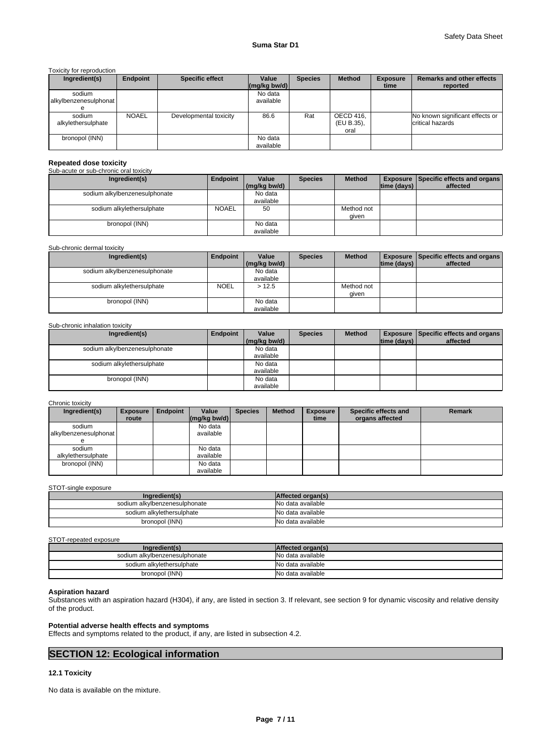Toxicity for reproduction

| Ingredient(s)         | Endpoint     | <b>Specific effect</b> | Value          | <b>Species</b> | <b>Method</b> | <b>Exposure</b> | <b>Remarks and other effects</b> |
|-----------------------|--------------|------------------------|----------------|----------------|---------------|-----------------|----------------------------------|
|                       |              |                        | $(mg/kg$ bw/d) |                |               | time            | reported                         |
| sodium                |              |                        | No data        |                |               |                 |                                  |
| alkylbenzenesulphonat |              |                        | available      |                |               |                 |                                  |
|                       |              |                        |                |                |               |                 |                                  |
| sodium                | <b>NOAEL</b> | Developmental toxicity | 86.6           | Rat            | OECD 416,     |                 | No known significant effects or  |
| alkylethersulphate    |              |                        |                |                | (EU B.35),    |                 | critical hazards                 |
|                       |              |                        |                |                | oral          |                 |                                  |
| bronopol (INN)        |              |                        | No data        |                |               |                 |                                  |
|                       |              |                        | available      |                |               |                 |                                  |

## **Repeated dose toxicity**

Sub-acute or sub-chronic oral toxicity

| Ingredient(s)                 | Endpoint     | Value        | <b>Species</b> | <b>Method</b> |             | <b>Exposure Specific effects and organs</b> |  |
|-------------------------------|--------------|--------------|----------------|---------------|-------------|---------------------------------------------|--|
|                               |              | (mg/kg bw/d) |                |               | time (days) | affected                                    |  |
| sodium alkylbenzenesulphonate |              | No data      |                |               |             |                                             |  |
|                               |              | available    |                |               |             |                                             |  |
| sodium alkylethersulphate     | <b>NOAEL</b> | 50           |                | Method not    |             |                                             |  |
|                               |              |              |                | qiven         |             |                                             |  |
| bronopol (INN)                |              | No data      |                |               |             |                                             |  |
|                               |              | available    |                |               |             |                                             |  |

### Sub-chronic dermal toxicity

| Ingredient(s)                 | Endpoint    | Value        | <b>Species</b> | <b>Method</b> |             | <b>Exposure   Specific effects and organs  </b> |
|-------------------------------|-------------|--------------|----------------|---------------|-------------|-------------------------------------------------|
|                               |             | (mg/kg bw/d) |                |               | time (days) | affected                                        |
| sodium alkylbenzenesulphonate |             | No data      |                |               |             |                                                 |
|                               |             | available    |                |               |             |                                                 |
| sodium alkylethersulphate     | <b>NOEL</b> | >12.5        |                | Method not    |             |                                                 |
|                               |             |              |                | given         |             |                                                 |
| bronopol (INN)                |             | No data      |                |               |             |                                                 |
|                               |             | available    |                |               |             |                                                 |

### Sub-chronic inhalation toxicity

| Ingredient(s)                 | Endpoint | Value        | <b>Species</b> | <b>Method</b> |                    | <b>Exposure   Specific effects and organs  </b> |
|-------------------------------|----------|--------------|----------------|---------------|--------------------|-------------------------------------------------|
|                               |          | (mg/kg bw/d) |                |               | $ time$ (days) $ $ | affected                                        |
| sodium alkylbenzenesulphonate |          | No data      |                |               |                    |                                                 |
|                               |          | available    |                |               |                    |                                                 |
| sodium alkylethersulphate     |          | No data      |                |               |                    |                                                 |
|                               |          | available    |                |               |                    |                                                 |
| bronopol (INN)                |          | No data      |                |               |                    |                                                 |
|                               |          | available    |                |               |                    |                                                 |

### Chronic toxicity

| Ingredient(s)         | <b>Exposure</b> | Endpoint | Value                                      | <b>Species</b> | <b>Method</b> | <b>Exposure</b> | Specific effects and | <b>Remark</b> |
|-----------------------|-----------------|----------|--------------------------------------------|----------------|---------------|-----------------|----------------------|---------------|
|                       | route           |          | $\left \frac{\text{mg}}{\text{kg}}\right $ |                |               | time            | organs affected      |               |
| sodium                |                 |          | No data                                    |                |               |                 |                      |               |
| alkylbenzenesulphonat |                 |          | available                                  |                |               |                 |                      |               |
|                       |                 |          |                                            |                |               |                 |                      |               |
| sodium                |                 |          | No data                                    |                |               |                 |                      |               |
| alkylethersulphate    |                 |          | available                                  |                |               |                 |                      |               |
| bronopol (INN)        |                 |          | No data                                    |                |               |                 |                      |               |
|                       |                 |          | available                                  |                |               |                 |                      |               |

### STOT-single exposure

| Ingredient(s)                 | Affected organ(s) |
|-------------------------------|-------------------|
| sodium alkylbenzenesulphonate | No data available |
| sodium alkylethersulphate     | No data available |
| bronopol (INN)                | No data available |

### STOT-repeated exposure

| Ingredient(s)                 | Affected organ(s) |
|-------------------------------|-------------------|
| sodium alkylbenzenesulphonate | No data available |
| sodium alkylethersulphate     | No data available |
| bronopol (INN)                | No data available |

### **Aspiration hazard**

Substances with an aspiration hazard (H304), if any, are listed in section 3. If relevant, see section 9 for dynamic viscosity and relative density of the product.

### **Potential adverse health effects and symptoms**

Effects and symptoms related to the product, if any, are listed in subsection 4.2.

# **SECTION 12: Ecological information**

### **12.1 Toxicity**

No data is available on the mixture.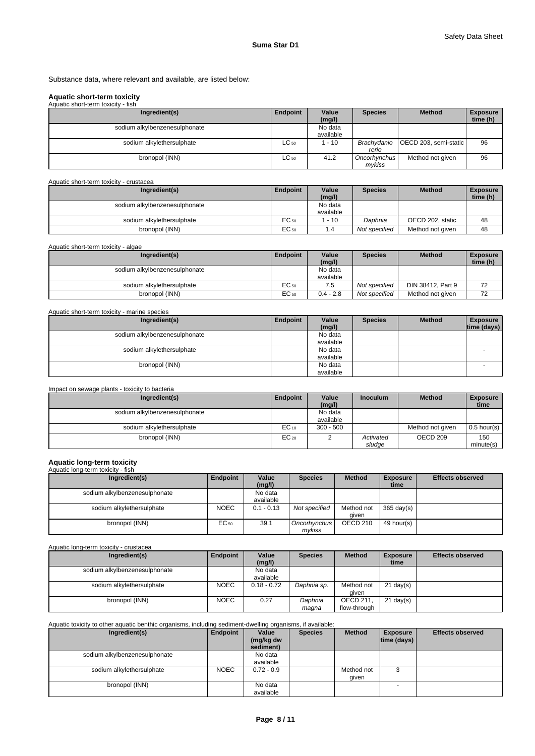Substance data, where relevant and available, are listed below:

# **Aquatic short-term toxicity**

| Aquatic short-term toxicity - fish |           |                      |                        |                                     |                             |
|------------------------------------|-----------|----------------------|------------------------|-------------------------------------|-----------------------------|
| Ingredient(s)                      | Endpoint  | Value<br>(mg/l)      | <b>Species</b>         | <b>Method</b>                       | <b>Exposure</b><br>time (h) |
| sodium alkylbenzenesulphonate      |           | No data<br>available |                        |                                     |                             |
| sodium alkylethersulphate          | $LC_{50}$ | 1 - 10               | rerio                  | Brachydanio   OECD 203, semi-static | 96                          |
| bronopol (INN)                     | $LC_{50}$ | 41.2                 | Oncorhynchus<br>mykiss | Method not given                    | 96                          |

### Aquatic short-term toxicity - crustacea

| Ingredient(s)                 | Endpoint | Value<br>(mq/l)      | <b>Species</b> | <b>Method</b>    | <b>Exposure</b><br>time (h) |
|-------------------------------|----------|----------------------|----------------|------------------|-----------------------------|
| sodium alkylbenzenesulphonate |          | No data<br>available |                |                  |                             |
| sodium alkylethersulphate     | EC 50    | $-10$                | Daphnia        | OECD 202, static | 48                          |
| bronopol (INN)                | EC 50    |                      | Not specified  | Method not given | 48                          |

### Aquatic short-term toxicity - algae

| Ingredient(s)                 | <b>Endpoint</b> | Value       | Species       | <b>Method</b>     | <b>Exposure</b> |
|-------------------------------|-----------------|-------------|---------------|-------------------|-----------------|
|                               |                 | (mg/l)      |               |                   | time (h)        |
| sodium alkylbenzenesulphonate |                 | No data     |               |                   |                 |
|                               |                 | available   |               |                   |                 |
| sodium alkvlethersulphate     | EC 50           |             | Not specified | DIN 38412, Part 9 | 72              |
| bronopol (INN)                | $EC_{50}$       | $0.4 - 2.8$ | Not specified | Method not given  | 72              |

| Aquatic short-term toxicity - marine species |          |                      |                |               |                                |
|----------------------------------------------|----------|----------------------|----------------|---------------|--------------------------------|
| Ingredient(s)                                | Endpoint | Value<br>(mg/l)      | <b>Species</b> | <b>Method</b> | <b>Exposure</b><br>time (days) |
| sodium alkylbenzenesulphonate                |          | No data<br>available |                |               |                                |
| sodium alkylethersulphate                    |          | No data<br>available |                |               |                                |
| bronopol (INN)                               |          | No data<br>available |                |               |                                |

### Impact on sewage plants - toxicity to bacteria

| Ingredient(s)                 | Endpoint  | Value       | <b>Inoculum</b> | <b>Method</b>    | <b>Exposure</b> |
|-------------------------------|-----------|-------------|-----------------|------------------|-----------------|
|                               |           | (mg/l)      |                 |                  | time            |
| sodium alkylbenzenesulphonate |           | No data     |                 |                  |                 |
|                               |           | available   |                 |                  |                 |
| sodium alkylethersulphate     | $EC_{10}$ | $300 - 500$ |                 | Method not given | $0.5$ hour(s)   |
| bronopol (INN)                | $EC_{20}$ |             | Activated       | OECD 209         | 150             |
|                               |           |             | sludge          |                  | minute(s)       |

# **Aquatic long-term toxicity** Aquatic long-term toxicity - fish

| Ingredient(s)                 | Endpoint    | Value        | <b>Species</b> | <b>Method</b>       | <b>Exposure</b>      | <b>Effects observed</b> |
|-------------------------------|-------------|--------------|----------------|---------------------|----------------------|-------------------------|
|                               |             | (mg/l)       |                |                     | time                 |                         |
| sodium alkylbenzenesulphonate |             | No data      |                |                     |                      |                         |
|                               |             | available    |                |                     |                      |                         |
| sodium alkylethersulphate     | <b>NOEC</b> | $0.1 - 0.13$ | Not specified  | Method not          | $365 \text{ day(s)}$ |                         |
|                               |             |              |                | aiven               |                      |                         |
| bronopol (INN)                | EC 50       | 39.1         | Oncorhynchus   | OECD <sub>210</sub> | 49 hour(s)           |                         |
|                               |             |              | mvkiss         |                     |                      |                         |

Aquatic long-term toxicity - crustacea

| Ingredient(s)                 | Endpoint    | Value         | <b>Species</b> | <b>Method</b>    | <b>Exposure</b>     | <b>Effects observed</b> |
|-------------------------------|-------------|---------------|----------------|------------------|---------------------|-------------------------|
|                               |             | (mg/l)        |                |                  | time                |                         |
| sodium alkylbenzenesulphonate |             | No data       |                |                  |                     |                         |
|                               |             | available     |                |                  |                     |                         |
| sodium alkylethersulphate     | <b>NOEC</b> | $0.18 - 0.72$ | Daphnia sp.    | Method not       | $21 \text{ day}(s)$ |                         |
|                               |             |               |                | aiven            |                     |                         |
| bronopol (INN)                | <b>NOEC</b> | 0.27          | Daphnia        | <b>OECD 211.</b> | $21 \text{ day}(s)$ |                         |
|                               |             |               | maqna          | flow-through     |                     |                         |

### Aquatic toxicity to other aquatic benthic organisms, including sediment-dwelling organisms, if available:

| Ingredient(s)                 | Endpoint    | Value<br>(mg/kg dw<br>sediment) | <b>Species</b> | <b>Method</b>       | <b>Exposure</b><br>$ time$ (days) $ $ | <b>Effects observed</b> |
|-------------------------------|-------------|---------------------------------|----------------|---------------------|---------------------------------------|-------------------------|
| sodium alkylbenzenesulphonate |             | No data<br>available            |                |                     |                                       |                         |
| sodium alkylethersulphate     | <b>NOEC</b> | $0.72 - 0.9$                    |                | Method not<br>qiven | 3                                     |                         |
| bronopol (INN)                |             | No data<br>available            |                |                     |                                       |                         |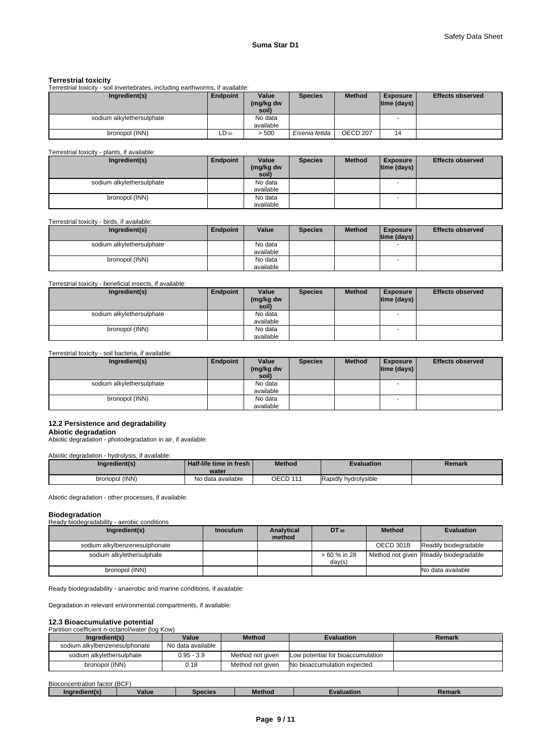### **Terrestrial toxicity**

Terrestrial toxicity - soil invertebrates, including earthworms, if available:

| Ingredient(s)             | Endpoint  | Value<br>(mg/kg dw<br>soil) | <b>Species</b> | <b>Method</b> | <b>Exposure</b><br>$ time$ (days) $ $ | <b>Effects observed</b> |
|---------------------------|-----------|-----------------------------|----------------|---------------|---------------------------------------|-------------------------|
| sodium alkylethersulphate |           | No data<br>available        |                |               | -                                     |                         |
| bronopol (INN)            | $LD_{50}$ | > 500                       | Eisenia fetida | OECD 207      | 14                                    |                         |

Terrestrial toxicity - plants, if available:

| Ingredient(s)             | Endpoint | Value<br>(mg/kg dw<br>soil) | <b>Species</b> | <b>Method</b> | <b>Exposure</b><br> time (days) | <b>Effects observed</b> |
|---------------------------|----------|-----------------------------|----------------|---------------|---------------------------------|-------------------------|
| sodium alkylethersulphate |          | No data                     |                |               | $\overline{\phantom{0}}$        |                         |
|                           |          | available                   |                |               |                                 |                         |
| bronopol (INN)            |          | No data                     |                |               |                                 |                         |
|                           |          | available                   |                |               |                                 |                         |

### Terrestrial toxicity - birds, if available:

| Ingredient(s)             | <b>Endpoint</b> | Value     | <b>Species</b> | <b>Method</b> | <b>Exposure</b><br>time (days) | <b>Effects observed</b> |
|---------------------------|-----------------|-----------|----------------|---------------|--------------------------------|-------------------------|
|                           |                 |           |                |               |                                |                         |
| sodium alkylethersulphate |                 | No data   |                |               |                                |                         |
|                           |                 | available |                |               |                                |                         |
| bronopol (INN)            |                 | No data   |                |               |                                |                         |
|                           |                 | available |                |               |                                |                         |

### Terrestrial toxicity - beneficial insects, if available:

| Ingredient(s)             | Endpoint | Value     | <b>Species</b> | <b>Method</b> | <b>Exposure</b>          | <b>Effects observed</b> |
|---------------------------|----------|-----------|----------------|---------------|--------------------------|-------------------------|
|                           |          | (mg/kg dw |                |               | $ time$ (days) $ $       |                         |
|                           |          | soil)     |                |               |                          |                         |
| sodium alkylethersulphate |          | No data   |                |               | $\overline{\phantom{0}}$ |                         |
|                           |          | available |                |               |                          |                         |
| bronopol (INN)            |          | No data   |                |               | $\overline{\phantom{a}}$ |                         |
|                           |          | available |                |               |                          |                         |

### Terrestrial toxicity - soil bacteria, if available:

| Ingredient(s)             | Endpoint | Value<br>(mg/kg dw<br>soil) | <b>Species</b> | <b>Method</b> | <b>Exposure</b><br>$ time$ (days) $ $ | <b>Effects observed</b> |
|---------------------------|----------|-----------------------------|----------------|---------------|---------------------------------------|-------------------------|
| sodium alkylethersulphate |          | No data                     |                |               | $\overline{\phantom{a}}$              |                         |
|                           |          | available                   |                |               |                                       |                         |
| bronopol (INN)            |          | No data                     |                |               |                                       |                         |
|                           |          | available                   |                |               |                                       |                         |

### **12.2 Persistence and degradability**

**Abiotic degradation** Abiotic degradation - photodegradation in air, if available:

### Abiotic degradation - hydrolysis, if available:

| Ingredient(s)  | Half-life time in fresh i<br>water | <b>Method</b> | Evaluation           | Remark |
|----------------|------------------------------------|---------------|----------------------|--------|
| bronopol (INN) | No data available                  | OECD 111      | Rapidly hydrolysible |        |

Abiotic degradation - other processes, if available:

### **Biodegradation** Ready biodegradability - aerobic conditions

| Ready blouegiagability - aerobic conditions |                 |                      |              |               |                                        |
|---------------------------------------------|-----------------|----------------------|--------------|---------------|----------------------------------------|
| Ingredient(s)                               | <b>Inoculum</b> | Analytical<br>method | $DT_{50}$    | <b>Method</b> | <b>Evaluation</b>                      |
|                                             |                 |                      |              |               |                                        |
| sodium alkylbenzenesulphonate               |                 |                      |              | OECD 301B     | Readily biodegradable                  |
| sodium alkylethersulphate                   |                 |                      | > 60 % in 28 |               | Method not given Readily biodegradable |
|                                             |                 |                      | day(s)       |               |                                        |
| bronopol (INN)                              |                 |                      |              |               | No data available                      |

Ready biodegradability - anaerobic and marine conditions, if available:

Degradation in relevant environmental compartments, if available:

### **12.3 Bioaccumulative potential**

### Partition coefficient n-octanol/water (log Kow)

| Ingredient(s)                 | Value             | <b>Method</b>    | <b>Evaluation</b>                         | Remark |
|-------------------------------|-------------------|------------------|-------------------------------------------|--------|
| sodium alkylbenzenesulphonate | No data available |                  |                                           |        |
| sodium alkvlethersulphate     | $0.95 - 3.9$      | Method not given | <b>ILow potential for bioaccumulation</b> |        |
| bronopol (INN)                | 0.18              | Method not given | No bioaccumulation expected               |        |

| $\overline{\phantom{a}}$<br>Biocon<br>ncentration<br>$t$ actor $\cdot$<br>iduul | 100 <sub>0</sub><br>' (BCF |         |                                                    |                   |        |
|---------------------------------------------------------------------------------|----------------------------|---------|----------------------------------------------------|-------------------|--------|
| ∡dient/⊤                                                                        | Value                      | species | <b>The Company's Company's Company's</b><br>Method | ivalus<br>uation. | emark. |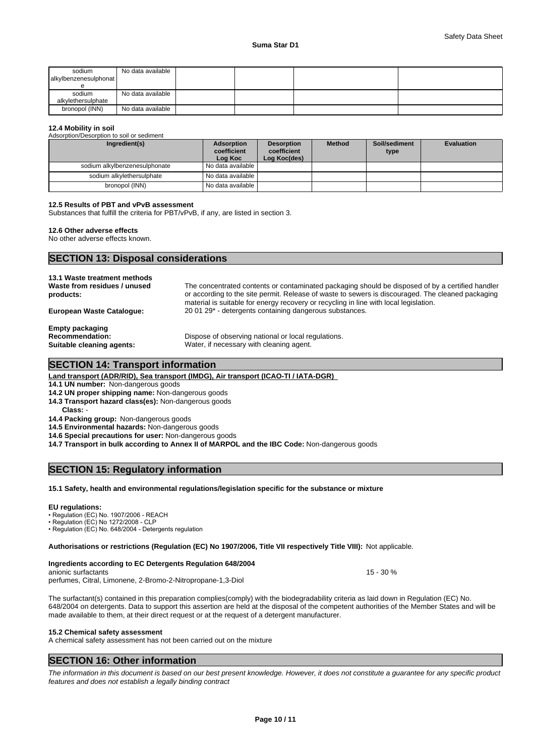| sodium<br>alkylbenzenesulphonat | No data available |  |  |
|---------------------------------|-------------------|--|--|
| sodium<br>alkylethersulphate    | No data available |  |  |
| bronopol (INN)                  | No data available |  |  |

### **12.4 Mobility in soil**

Adsorption/Desorption to soil or sediment

| Ingredient(s)                 | Adsorption<br>coefficient<br>Log Koc | <b>Desorption</b><br>coefficient<br>Log Koc(des) | <b>Method</b> | Soil/sediment<br>type | <b>Evaluation</b> |
|-------------------------------|--------------------------------------|--------------------------------------------------|---------------|-----------------------|-------------------|
| sodium alkylbenzenesulphonate | No data available I                  |                                                  |               |                       |                   |
| sodium alkylethersulphate     | No data available I                  |                                                  |               |                       |                   |
| bronopol (INN)                | No data available                    |                                                  |               |                       |                   |

### **12.5 Results of PBT and vPvB assessment**

Substances that fulfill the criteria for PBT/vPvB, if any, are listed in section 3.

### **12.6 Other adverse effects**

No other adverse effects known.

### **SECTION 13: Disposal considerations**

| 13.1 Waste treatment methods<br>Waste from residues / unused<br>products:     | The concentrated contents or contaminated packaging should be disposed of by a certified handler<br>or according to the site permit. Release of waste to sewers is discouraged. The cleaned packaging<br>material is suitable for energy recovery or recycling in line with local legislation. |
|-------------------------------------------------------------------------------|------------------------------------------------------------------------------------------------------------------------------------------------------------------------------------------------------------------------------------------------------------------------------------------------|
| <b>European Waste Cataloque:</b>                                              | 20 01 29 <sup>*</sup> - detergents containing dangerous substances.                                                                                                                                                                                                                            |
| <b>Empty packaging</b><br><b>Recommendation:</b><br>Suitable cleaning agents: | Dispose of observing national or local regulations.<br>Water, if necessary with cleaning agent.                                                                                                                                                                                                |

# **SECTION 14: Transport information**

|  | <u>Land transport (ADR/RID), Sea transport (IMDG), Air transport (ICAO-TI / IATA-DGR)  </u> |  |
|--|---------------------------------------------------------------------------------------------|--|
|  |                                                                                             |  |

- **14.1 UN number:** Non-dangerous goods
- **14.2 UN proper shipping name:** Non-dangerous goods
- **14.3 Transport hazard class(es):** Non-dangerous goods
- **Class:** -
- **14.4 Packing group:** Non-dangerous goods
- **14.5 Environmental hazards:** Non-dangerous goods
- **14.6 Special precautions for user:** Non-dangerous goods

**14.7 Transport in bulk according to Annex II of MARPOL and the IBC Code:** Non-dangerous goods

# **SECTION 15: Regulatory information**

### **15.1 Safety, health and environmental regulations/legislation specific for the substance or mixture**

**EU regulations:**<br>• Regulation (EC) No. 1907/2006 - REACH

• Regulation (EC) No 1272/2008 - CLP

• Regulation (EC) No. 648/2004 - Detergents regulation

### **Authorisations or restrictions (Regulation (EC) No 1907/2006, Title VII respectively Title VIII):** Not applicable.

**Ingredients according to EC Detergents Regulation 648/2004** anionic surfactants **15 - 30** % perfumes, Citral, Limonene, 2-Bromo-2-Nitropropane-1,3-Diol

The surfactant(s) contained in this preparation complies(comply) with the biodegradability criteria as laid down in Regulation (EC) No. 648/2004 on detergents. Data to support this assertion are held at the disposal of the competent authorities of the Member States and will be made available to them, at their direct request or at the request of a detergent manufacturer.

### **15.2 Chemical safety assessment**

A chemical safety assessment has not been carried out on the mixture

# **SECTION 16: Other information**

*The information in this document is based on our best present knowledge. However, it does not constitute a guarantee for any specific product features and does not establish a legally binding contract*